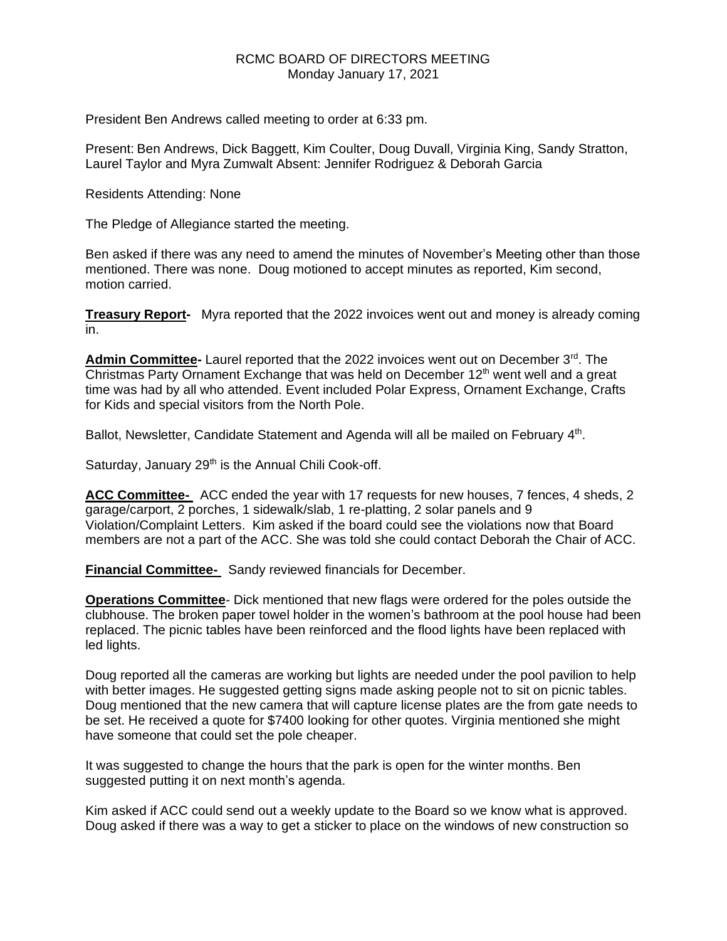## RCMC BOARD OF DIRECTORS MEETING Monday January 17, 2021

President Ben Andrews called meeting to order at 6:33 pm.

Present: Ben Andrews, Dick Baggett, Kim Coulter, Doug Duvall, Virginia King, Sandy Stratton, Laurel Taylor and Myra Zumwalt Absent: Jennifer Rodriguez & Deborah Garcia

Residents Attending: None

The Pledge of Allegiance started the meeting.

Ben asked if there was any need to amend the minutes of November's Meeting other than those mentioned. There was none. Doug motioned to accept minutes as reported, Kim second, motion carried.

**Treasury Report-** Myra reported that the 2022 invoices went out and money is already coming in.

Admin Committee- Laurel reported that the 2022 invoices went out on December 3<sup>rd</sup>. The Christmas Party Ornament Exchange that was held on December  $12<sup>th</sup>$  went well and a great time was had by all who attended. Event included Polar Express, Ornament Exchange, Crafts for Kids and special visitors from the North Pole.

Ballot, Newsletter, Candidate Statement and Agenda will all be mailed on February 4<sup>th</sup>.

Saturday, January 29<sup>th</sup> is the Annual Chili Cook-off.

**ACC Committee-** ACC ended the year with 17 requests for new houses, 7 fences, 4 sheds, 2 garage/carport, 2 porches, 1 sidewalk/slab, 1 re-platting, 2 solar panels and 9 Violation/Complaint Letters. Kim asked if the board could see the violations now that Board members are not a part of the ACC. She was told she could contact Deborah the Chair of ACC.

**Financial Committee-** Sandy reviewed financials for December.

**Operations Committee**- Dick mentioned that new flags were ordered for the poles outside the clubhouse. The broken paper towel holder in the women's bathroom at the pool house had been replaced. The picnic tables have been reinforced and the flood lights have been replaced with led lights.

Doug reported all the cameras are working but lights are needed under the pool pavilion to help with better images. He suggested getting signs made asking people not to sit on picnic tables. Doug mentioned that the new camera that will capture license plates are the from gate needs to be set. He received a quote for \$7400 looking for other quotes. Virginia mentioned she might have someone that could set the pole cheaper.

It was suggested to change the hours that the park is open for the winter months. Ben suggested putting it on next month's agenda.

Kim asked if ACC could send out a weekly update to the Board so we know what is approved. Doug asked if there was a way to get a sticker to place on the windows of new construction so